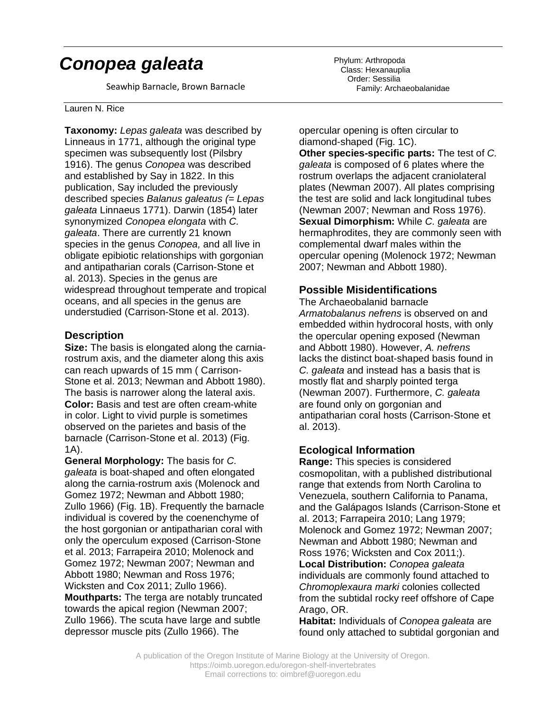# *Conopea galeata*

Seawhip Barnacle, Brown Barnacle

#### Lauren N. Rice

**Taxonomy:** *Lepas galeata* was described by Linneaus in 1771, although the original type specimen was subsequently lost (Pilsbry 1916). The genus *Conopea* was described and established by Say in 1822. In this publication, Say included the previously described species *Balanus galeatus (*= *Lepas galeata* Linnaeus 1771). Darwin (1854) later synonymized *Conopea elongata* with *C. galeata*. There are currently 21 known species in the genus *Conopea,* and all live in obligate epibiotic relationships with gorgonian and antipatharian corals (Carrison-Stone et al. 2013). Species in the genus are widespread throughout temperate and tropical oceans, and all species in the genus are understudied (Carrison-Stone et al. 2013).

#### **Description**

**Size:** The basis is elongated along the carniarostrum axis, and the diameter along this axis can reach upwards of 15 mm ( Carrison-Stone et al. 2013; Newman and Abbott 1980). The basis is narrower along the lateral axis. **Color:** Basis and test are often cream-white in color. Light to vivid purple is sometimes observed on the parietes and basis of the barnacle (Carrison-Stone et al. 2013) (Fig. 1A).

**General Morphology:** The basis for *C. galeata* is boat-shaped and often elongated along the carnia-rostrum axis (Molenock and Gomez 1972; Newman and Abbott 1980; Zullo 1966) (Fig. 1B). Frequently the barnacle individual is covered by the coenenchyme of the host gorgonian or antipatharian coral with only the operculum exposed (Carrison-Stone et al. 2013; Farrapeira 2010; Molenock and Gomez 1972; Newman 2007; Newman and Abbott 1980; Newman and Ross 1976; Wicksten and Cox 2011; Zullo 1966). **Mouthparts:** The terga are notably truncated towards the apical region (Newman 2007; Zullo 1966). The scuta have large and subtle depressor muscle pits (Zullo 1966). The

Phylum: Arthropoda Class: Hexanauplia Order: Sessilia Family: Archaeobalanidae

opercular opening is often circular to diamond-shaped (Fig. 1C).

**Other species-specific parts:** The test of *C. galeata* is composed of 6 plates where the rostrum overlaps the adjacent craniolateral plates (Newman 2007). All plates comprising the test are solid and lack longitudinal tubes (Newman 2007; Newman and Ross 1976). **Sexual Dimorphism:** While *C. galeata* are hermaphrodites, they are commonly seen with complemental dwarf males within the opercular opening (Molenock 1972; Newman 2007; Newman and Abbott 1980).

## **Possible Misidentifications**

The Archaeobalanid barnacle *Armatobalanus nefrens* is observed on and embedded within hydrocoral hosts, with only the opercular opening exposed (Newman and Abbott 1980). However, *A. nefrens* lacks the distinct boat-shaped basis found in *C. galeata* and instead has a basis that is mostly flat and sharply pointed terga (Newman 2007). Furthermore, *C. galeata* are found only on gorgonian and antipatharian coral hosts (Carrison-Stone et al. 2013).

## **Ecological Information**

**Range:** This species is considered cosmopolitan, with a published distributional range that extends from North Carolina to Venezuela, southern California to Panama, and the Galápagos Islands (Carrison-Stone et al. 2013; Farrapeira 2010; Lang 1979; Molenock and Gomez 1972; Newman 2007; Newman and Abbott 1980; Newman and Ross 1976; Wicksten and Cox 2011;). **Local Distribution:** *Conopea galeata* individuals are commonly found attached to *Chromoplexaura marki* colonies collected from the subtidal rocky reef offshore of Cape Arago, OR.

**Habitat:** Individuals of *Conopea galeata* are found only attached to subtidal gorgonian and

A publication of the Oregon Institute of Marine Biology at the University of Oregon. https://oimb.uoregon.edu/oregon-shelf-invertebrates Email corrections to: oimbref@uoregon.edu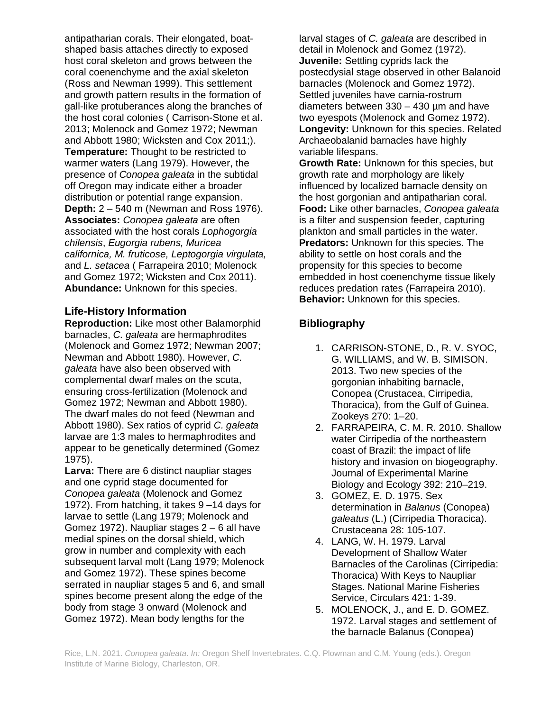antipatharian corals. Their elongated, boatshaped basis attaches directly to exposed host coral skeleton and grows between the coral coenenchyme and the axial skeleton (Ross and Newman 1999). This settlement and growth pattern results in the formation of gall-like protuberances along the branches of the host coral colonies ( Carrison-Stone et al. 2013; Molenock and Gomez 1972; Newman and Abbott 1980; Wicksten and Cox 2011;). **Temperature:** Thought to be restricted to warmer waters (Lang 1979). However, the presence of *Conopea galeata* in the subtidal off Oregon may indicate either a broader distribution or potential range expansion. **Depth:** 2 – 540 m (Newman and Ross 1976). **Associates:** *Conopea galeata* are often associated with the host corals *Lophogorgia chilensis*, *Eugorgia rubens, Muricea californica, M. fruticose, Leptogorgia virgulata,* and *L. setacea* ( Farrapeira 2010; Molenock and Gomez 1972; Wicksten and Cox 2011). **Abundance:** Unknown for this species.

#### **Life-History Information**

**Reproduction:** Like most other Balamorphid barnacles, *C. galeata* are hermaphrodites (Molenock and Gomez 1972; Newman 2007; Newman and Abbott 1980). However, *C. galeata* have also been observed with complemental dwarf males on the scuta, ensuring cross-fertilization (Molenock and Gomez 1972; Newman and Abbott 1980). The dwarf males do not feed (Newman and Abbott 1980). Sex ratios of cyprid *C. galeata* larvae are 1:3 males to hermaphrodites and appear to be genetically determined (Gomez 1975).

**Larva:** There are 6 distinct naupliar stages and one cyprid stage documented for *Conopea galeata* (Molenock and Gomez 1972). From hatching, it takes 9 –14 days for larvae to settle (Lang 1979; Molenock and Gomez 1972). Naupliar stages 2 – 6 all have medial spines on the dorsal shield, which grow in number and complexity with each subsequent larval molt (Lang 1979; Molenock and Gomez 1972). These spines become serrated in naupliar stages 5 and 6, and small spines become present along the edge of the body from stage 3 onward (Molenock and Gomez 1972). Mean body lengths for the

larval stages of *C. galeata* are described in detail in Molenock and Gomez (1972). **Juvenile:** Settling cyprids lack the postecdysial stage observed in other Balanoid barnacles (Molenock and Gomez 1972). Settled juveniles have carnia-rostrum diameters between 330 – 430 µm and have two eyespots (Molenock and Gomez 1972). **Longevity:** Unknown for this species. Related Archaeobalanid barnacles have highly variable lifespans.

**Growth Rate:** Unknown for this species, but growth rate and morphology are likely influenced by localized barnacle density on the host gorgonian and antipatharian coral. **Food:** Like other barnacles, *Conopea galeata* is a filter and suspension feeder, capturing plankton and small particles in the water. **Predators:** Unknown for this species. The ability to settle on host corals and the propensity for this species to become embedded in host coenenchyme tissue likely reduces predation rates (Farrapeira 2010). **Behavior:** Unknown for this species.

## **Bibliography**

- 1. CARRISON-STONE, D., R. V. SYOC, G. WILLIAMS, and W. B. SIMISON. 2013. Two new species of the gorgonian inhabiting barnacle, Conopea (Crustacea, Cirripedia, Thoracica), from the Gulf of Guinea. Zookeys 270: 1–20.
- 2. FARRAPEIRA, C. M. R. 2010. Shallow water Cirripedia of the northeastern coast of Brazil: the impact of life history and invasion on biogeography. Journal of Experimental Marine Biology and Ecology 392: 210–219.
- 3. GOMEZ, E. D. 1975. Sex determination in *Balanus* (Conopea) *galeatus* (L.) (Cirripedia Thoracica). Crustaceana 28: 105-107.
- 4. LANG, W. H. 1979. Larval Development of Shallow Water Barnacles of the Carolinas (Cirripedia: Thoracica) With Keys to Naupliar Stages. National Marine Fisheries Service, Circulars 421: 1-39.
- 5. MOLENOCK, J., and E. D. GOMEZ. 1972. Larval stages and settlement of the barnacle Balanus (Conopea)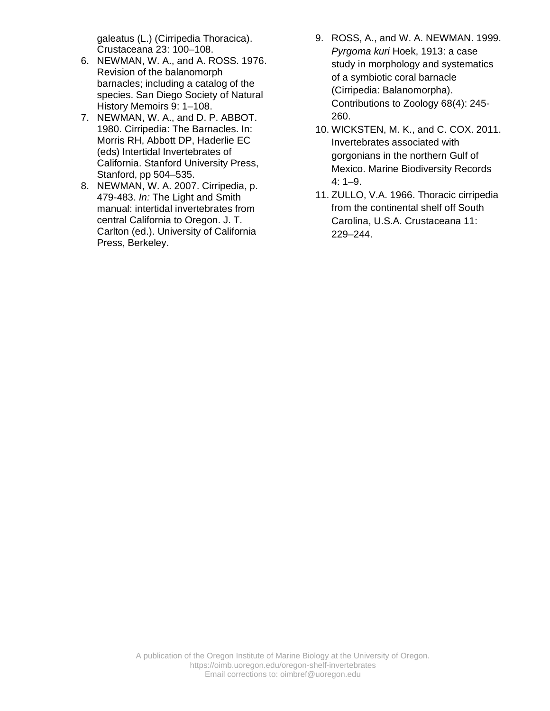galeatus (L.) (Cirripedia Thoracica). Crustaceana 23: 100–108.

- 6. NEWMAN, W. A., and A. ROSS. 1976. Revision of the balanomorph barnacles; including a catalog of the species. San Diego Society of Natural History Memoirs 9: 1–108.
- 7. NEWMAN, W. A., and D. P. ABBOT. 1980. Cirripedia: The Barnacles. In: Morris RH, Abbott DP, Haderlie EC (eds) Intertidal Invertebrates of California. Stanford University Press, Stanford, pp 504–535.
- 8. NEWMAN, W. A. 2007. Cirripedia, p. 479-483. *In:* The Light and Smith manual: intertidal invertebrates from central California to Oregon. J. T. Carlton (ed.). University of California Press, Berkeley.
- 9. ROSS, A., and W. A. NEWMAN. 1999. *Pyrgoma kuri* Hoek, 1913: a case study in morphology and systematics of a symbiotic coral barnacle (Cirripedia: Balanomorpha). Contributions to Zoology 68(4): 245- 260.
- 10. WICKSTEN, M. K., and C. COX. 2011. Invertebrates associated with gorgonians in the northern Gulf of Mexico. Marine Biodiversity Records  $4: 1-9.$
- 11. ZULLO, V.A. 1966. Thoracic cirripedia from the continental shelf off South Carolina, U.S.A. Crustaceana 11: 229–244.